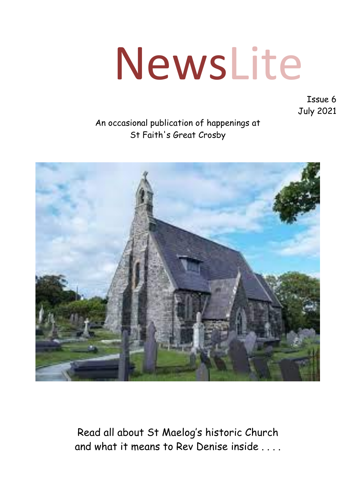# NewsLite

Issue 6 July 2021

#### An occasional publication of happenings at St Faith's Great Crosby



Read all about St Maelog's historic Church and what it means to Rev Denise inside . . . .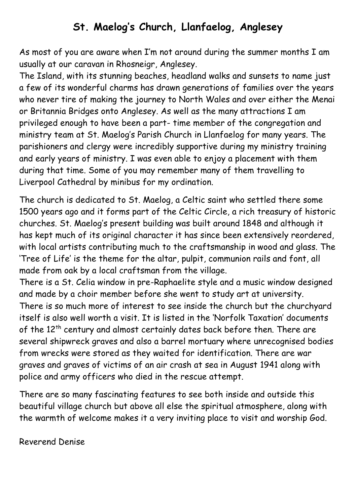#### **St. Maelog's Church, Llanfaelog, Anglesey**

As most of you are aware when I'm not around during the summer months I am usually at our caravan in Rhosneigr, Anglesey.

The Island, with its stunning beaches, headland walks and sunsets to name just a few of its wonderful charms has drawn generations of families over the years who never tire of making the journey to North Wales and over either the Menai or Britannia Bridges onto Anglesey. As well as the many attractions I am privileged enough to have been a part- time member of the congregation and ministry team at St. Maelog's Parish Church in Llanfaelog for many years. The parishioners and clergy were incredibly supportive during my ministry training and early years of ministry. I was even able to enjoy a placement with them during that time. Some of you may remember many of them travelling to Liverpool Cathedral by minibus for my ordination.

The church is dedicated to St. Maelog, a Celtic saint who settled there some 1500 years ago and it forms part of the Celtic Circle, a rich treasury of historic churches. St. Maelog's present building was built around 1848 and although it has kept much of its original character it has since been extensively reordered, with local artists contributing much to the craftsmanship in wood and glass. The 'Tree of Life' is the theme for the altar, pulpit, communion rails and font, all made from oak by a local craftsman from the village.

There is a St. Celia window in pre-Raphaelite style and a music window designed and made by a choir member before she went to study art at university. There is so much more of interest to see inside the church but the churchyard itself is also well worth a visit. It is listed in the 'Norfolk Taxation' documents of the 12<sup>th</sup> century and almost certainly dates back before then. There are several shipwreck graves and also a barrel mortuary where unrecognised bodies from wrecks were stored as they waited for identification. There are war graves and graves of victims of an air crash at sea in August 1941 along with police and army officers who died in the rescue attempt.

There are so many fascinating features to see both inside and outside this beautiful village church but above all else the spiritual atmosphere, along with the warmth of welcome makes it a very inviting place to visit and worship God.

Reverend Denise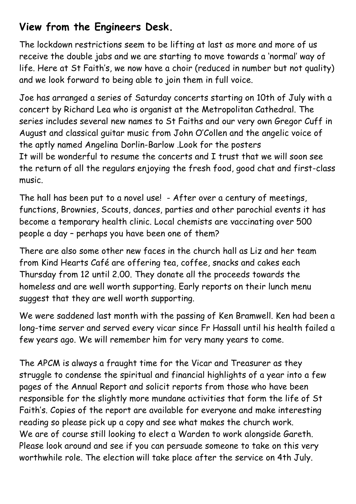### **View from the Engineers Desk.**

The lockdown restrictions seem to be lifting at last as more and more of us receive the double jabs and we are starting to move towards a 'normal' way of life. Here at St Faith's, we now have a choir (reduced in number but not quality) and we look forward to being able to join them in full voice.

Joe has arranged a series of Saturday concerts starting on 10th of July with a concert by Richard Lea who is organist at the Metropolitan Cathedral. The series includes several new names to St Faiths and our very own Gregor Cuff in August and classical guitar music from John O'Collen and the angelic voice of the aptly named Angelina Dorlin-Barlow .Look for the posters It will be wonderful to resume the concerts and I trust that we will soon see the return of all the regulars enjoying the fresh food, good chat and first-class music.

The hall has been put to a novel use! - After over a century of meetings, functions, Brownies, Scouts, dances, parties and other parochial events it has become a temporary health clinic. Local chemists are vaccinating over 500 people a day – perhaps you have been one of them?

There are also some other new faces in the church hall as Liz and her team from Kind Hearts Café are offering tea, coffee, snacks and cakes each Thursday from 12 until 2.00. They donate all the proceeds towards the homeless and are well worth supporting. Early reports on their lunch menu suggest that they are well worth supporting.

We were saddened last month with the passing of Ken Bramwell. Ken had been a long-time server and served every vicar since Fr Hassall until his health failed a few years ago. We will remember him for very many years to come.

The APCM is always a fraught time for the Vicar and Treasurer as they struggle to condense the spiritual and financial highlights of a year into a few pages of the Annual Report and solicit reports from those who have been responsible for the slightly more mundane activities that form the life of St Faith's. Copies of the report are available for everyone and make interesting reading so please pick up a copy and see what makes the church work. We are of course still looking to elect a Warden to work alongside Gareth. Please look around and see if you can persuade someone to take on this very worthwhile role. The election will take place after the service on 4th July.